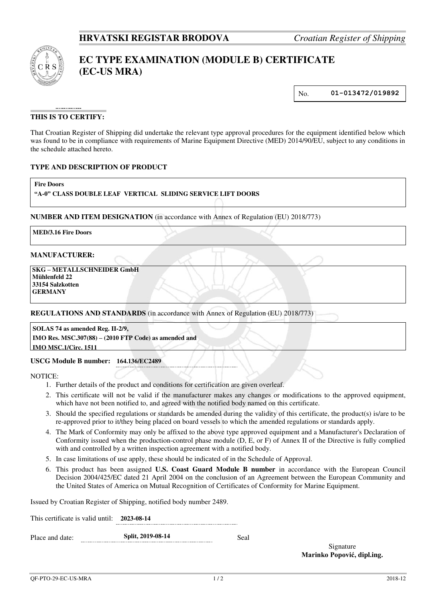

# **EC TYPE EXAMINATION (MODULE B) CERTIFICATE (EC-US MRA)**

No. **01-013472/019892**

## **THIS IS TO CERTIFY:**

That Croatian Register of Shipping did undertake the relevant type approval procedures for the equipment identified below which was found to be in compliance with requirements of Marine Equipment Directive (MED) 2014/90/EU, subject to any conditions in the schedule attached hereto.

## **TYPE AND DESCRIPTION OF PRODUCT**

**Fire Doors** 

## **"A-0" CLASS DOUBLE LEAF VERTICAL SLIDING SERVICE LIFT DOORS**

**NUMBER AND ITEM DESIGNATION** (in accordance with Annex of Regulation (EU) 2018/773)

**MED/3.16 Fire Doors**

### **MANUFACTURER:**

 **SKG – METALLSCHNEIDER GmbH Mühlenfeld 22 33154 Salzkotten GERMANY**

#### **REGULATIONS AND STANDARDS** (in accordance with Annex of Regulation (EU) 2018/773)

**SOLAS 74 as amended Reg. II-2/9, IMO Res. MSC.307(88) – (2010 FTP Code) as amended and IMO MSC.1/Circ. 1511**

#### **USCG Module B number: 164.136/EC2489**

NOTICE:

- 1. Further details of the product and conditions for certification are given overleaf.
- 2. This certificate will not be valid if the manufacturer makes any changes or modifications to the approved equipment, which have not been notified to, and agreed with the notified body named on this certificate.
- 3. Should the specified regulations or standards be amended during the validity of this certificate, the product(s) is/are to be re-approved prior to it/they being placed on board vessels to which the amended regulations or standards apply.
- 4. The Mark of Conformity may only be affixed to the above type approved equipment and a Manufacturer's Declaration of Conformity issued when the production-control phase module (D, E, or F) of Annex II of the Directive is fully complied with and controlled by a written inspection agreement with a notified body.
- 5. In case limitations of use apply, these should be indicated of in the Schedule of Approval.
- 6. This product has been assigned **U.S. Coast Guard Module B number** in accordance with the European Council Decision 2004/425/EC dated 21 April 2004 on the conclusion of an Agreement between the European Community and the United States of America on Mutual Recognition of Certificates of Conformity for Marine Equipment.

Issued by Croatian Register of Shipping, notified body number 2489.

This certificate is valid until: **2023-08-14**

Place and date: **Split, 2019-08-14** Seal

Signature **Marinko Popović, dipl.ing.**